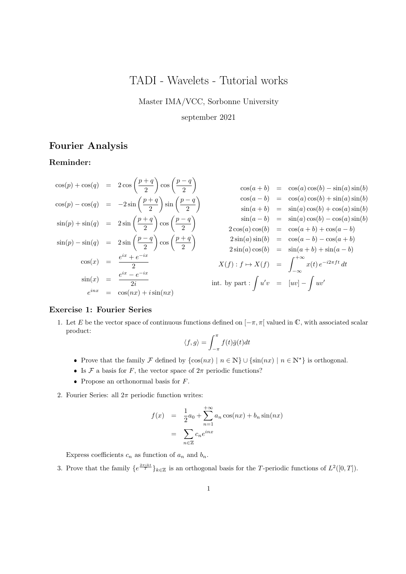# TADI - Wavelets - Tutorial works

Master IMA/VCC, Sorbonne University

### september 2021

# Fourier Analysis

# Reminder:

$$
\cos(p) + \cos(q) = 2\cos\left(\frac{p+q}{2}\right)\cos\left(\frac{p-q}{2}\right) \cos(a+b) = \cos(a)\cos(b) - \sin(a)\sin(b)
$$
  
\n
$$
\cos(p) - \cos(q) = -2\sin\left(\frac{p+q}{2}\right)\sin\left(\frac{p-q}{2}\right) \sin(a+b) = \cos(a)\cos(b) + \sin(a)\sin(b)
$$
  
\n
$$
\sin(p) + \sin(q) = 2\sin\left(\frac{p+q}{2}\right)\cos\left(\frac{p-q}{2}\right) \cos\left(\frac{p-q}{2}\right) \sin(a-b) = \sin(a)\cos(b) + \cos(a)\sin(b)
$$
  
\n
$$
\sin(p) - \sin(q) = 2\sin\left(\frac{p-q}{2}\right)\cos\left(\frac{p+q}{2}\right) \cos\left(\frac{p-q}{2}\right) \cos(a)\cos(b) = \cos(a+b) + \cos(a-b)
$$
  
\n
$$
\sin(p) - \sin(q) = 2\sin\left(\frac{p-q}{2}\right)\cos\left(\frac{p+q}{2}\right) \cos\left(\frac{p+q}{2}\right) \cos(a)\cos(b) = \cos(a+b) + \cos(a-b)
$$
  
\n
$$
\cos(x) = \frac{e^{ix} + e^{-ix}}{2}
$$
  
\n
$$
\cos(x) = \frac{e^{ix} + e^{-ix}}{2}
$$
  
\n
$$
\sin(x) = \frac{e^{ix} - e^{-ix}}{2i}
$$
  
\n
$$
\sin(x) = \cos(nx) + i\sin(nx)
$$
  
\n
$$
\sin(x) = \cos(nx) + i\sin(nx)
$$

### Exercise 1: Fourier Series

1. Let E be the vector space of continuous functions defined on  $[-\pi, \pi]$  valued in  $\mathbb{C}$ , with associated scalar product:

$$
\langle f, g \rangle = \int_{-\pi}^{\pi} f(t)\bar{g}(t)dt
$$

- Prove that the family F defined by  $\{\cos(nx) \mid n \in \mathbb{N}\}\cup \{\sin(nx) \mid n \in \mathbb{N}^*\}$  is orthogonal.
- Is F a basis for F, the vector space of  $2\pi$  periodic functions?
- Propose an orthonormal basis for  $F$ .
- 2. Fourier Series: all  $2\pi$  periodic function writes:

$$
f(x) = \frac{1}{2}a_0 + \sum_{n=1}^{+\infty} a_n \cos(nx) + b_n \sin(nx)
$$

$$
= \sum_{n \in \mathbb{Z}} c_n e^{inx}
$$

Express coefficients  $c_n$  as function of  $a_n$  and  $b_n$ .

3. Prove that the family  $\{e^{\frac{2\pi ikt}{T}}\}_{k\in\mathbb{Z}}$  is an orthogonal basis for the T-periodic functions of  $L^2([0,T])$ .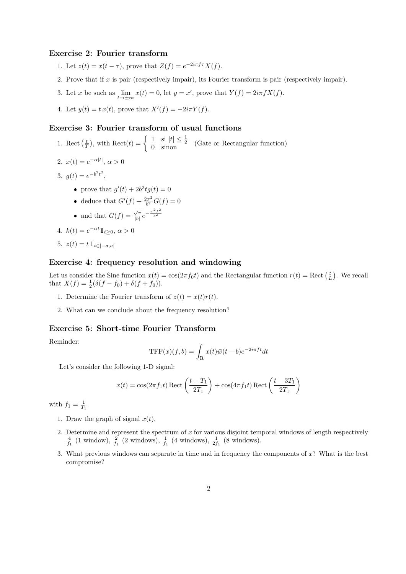### Exercise 2: Fourier transform

- 1. Let  $z(t) = x(t \tau)$ , prove that  $Z(f) = e^{-2i\pi f \tau} X(f)$ .
- 2. Prove that if x is pair (respectively impair), its Fourier transform is pair (respectively impair).
- 3. Let x be such as  $\lim_{t \to \pm \infty} x(t) = 0$ , let  $y = x'$ , prove that  $Y(f) = 2i\pi f X(f)$ .
- 4. Let  $y(t) = tx(t)$ , prove that  $X'(f) = -2i\pi Y(f)$ .

#### Exercise 3: Fourier transform of usual functions

1. Rect  $(\frac{t}{T})$ , with Rect(t) =  $\begin{cases} 1 & \text{si } |t| \leq \frac{1}{2} \\ 0 & \text{sinon} \end{cases}$  (Gate or Rectangular function)

$$
2. \ x(t) = e^{-\alpha|t|}, \ \alpha > 0
$$

- 3.  $g(t) = e^{-b^2t^2}$ ,
	- prove that  $g'(t) + 2b^2tg(t) = 0$
	- deduce that  $G'(f) + \frac{2\pi^2}{h^2}$  $\frac{2\pi^2}{b^2}G(f)=0$
	- and that  $G(f) = \frac{\sqrt{\pi}}{|h|}$  $\frac{\sqrt{\pi}}{|b|}e^{-\frac{\pi^2 f^2}{b^2}}$
- 4.  $k(t) = e^{-\alpha t} \mathbb{1}_{t \geq 0}, \, \alpha > 0$

5. 
$$
z(t) = t \mathbb{1}_{t \in ]-a,a[}
$$

#### Exercise 4: frequency resolution and windowing

Let us consider the Sine function  $x(t) = \cos(2\pi f_0 t)$  and the Rectangular function  $r(t) = \text{Rect}(\frac{t}{L})$ . We recall that  $X(f) = \frac{1}{2}(\delta(f - f_0) + \delta(f + f_0)).$ 

- 1. Determine the Fourier transform of  $z(t) = x(t)r(t)$ .
- 2. What can we conclude about the frequency resolution?

#### Exercise 5: Short-time Fourier Transform

Reminder:

$$
TFF(x)(f,b) = \int_{\mathbb{R}} x(t)\overline{w}(t-b)e^{-2i\pi ft}dt
$$

Let's consider the following 1-D signal:

$$
x(t) = \cos(2\pi f_1 t) \operatorname{Rect}\left(\frac{t - T_1}{2T_1}\right) + \cos(4\pi f_1 t) \operatorname{Rect}\left(\frac{t - 3T_1}{2T_1}\right)
$$

with  $f_1 = \frac{1}{T_1}$ 

- 1. Draw the graph of signal  $x(t)$ .
- 2. Determine and represent the spectrum of  $x$  for various disjoint temporal windows of length respectively  $\frac{4}{f_1}$  (1 window),  $\frac{2}{f_1}$  (2 windows),  $\frac{1}{f_1}$  (4 windows),  $\frac{1}{2f_1}$  (8 windows).
- 3. What previous windows can separate in time and in frequency the components of x? What is the best compromise?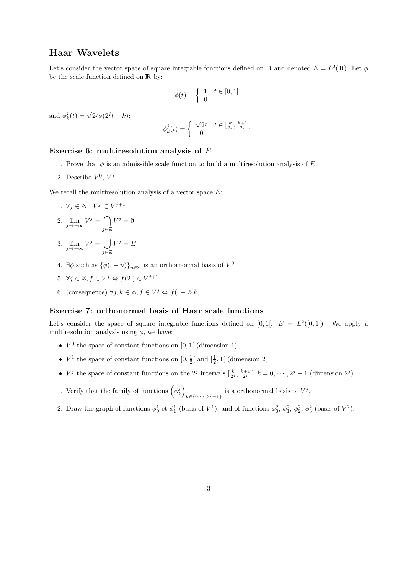# Haar Wavelets

Let's consider the vector space of square integrable fonctions defined on R and denoted  $E = L^2(\mathbb{R})$ . Let  $\phi$ be the scale function defined on R by:

$$
\phi(t) = \begin{cases} 1 & t \in [0,1[ \\ 0 & \end{cases}
$$

and  $\phi_k^j(t) = \sqrt{2^j}\phi(2^jt - k)$ :

$$
\phi_k^j(t) = \begin{cases} \sqrt{2^j} & t \in [\frac{k}{2^j}, \frac{k+1}{2^j}[ \\ 0 & \end{cases}
$$

#### Exercise 6: multiresolution analysis of E

- 1. Prove that  $\phi$  is an admissible scale function to build a multiresolution analysis of E.
- 2. Describe  $V^0$ ,  $V^j$ .

We recall the multiresolution analysis of a vector space  $E$ :

- 1.  $\forall j \in \mathbb{Z}$   $V^j \subset V^{j+1}$
- 2.  $\lim_{j \to -\infty} V^j = \bigcap$ j∈Z  $V^j = \emptyset$
- 3.  $\lim_{j \to +\infty} V^j = \bigcup$ j∈Z  $V^j = E$
- 4.  $\exists \phi$  such as  $\{\phi(\cdot n)\}_{n \in \mathbb{Z}}$  is an orthornormal basis of  $V^0$
- 5.  $\forall j \in \mathbb{Z}, f \in V^j \Leftrightarrow f(2.) \in V^{j+1}$
- 6. (consequence)  $\forall j, k \in \mathbb{Z}, f \in V^j \Leftrightarrow f(. 2^j k)$

#### Exercise 7: orthonormal basis of Haar scale functions

Let's consider the space of square integrable functions defined on  $[0,1[: E = L<sup>2</sup>([0,1[). We apply a$ multiresolution analysis using  $\phi$ , we have:

- $V^0$  the space of constant functions on [0, 1] (dimension 1)
- $V^1$  the space of constant functions on  $[0, \frac{1}{2}]$  and  $[\frac{1}{2}, 1]$  (dimension 2)
- V<sup>j</sup> the space of constant functions on the 2<sup>j</sup> intervals  $\left[\frac{k}{2^j}, \frac{k+1}{2^j}\right], k = 0, \cdots, 2^j 1$  (dimension 2<sup>j</sup>)
- 1. Verify that the family of functions  $(\phi_k^j)$  $k \in \{0, \dots, 2^{j}-1\}$  is a orthonormal basis of  $V^{j}$ .
- 2. Draw the graph of functions  $\phi_0^1$  et  $\phi_1^1$  (basis of  $V^1$ ), and of functions  $\phi_0^2$ ,  $\phi_1^2$ ,  $\phi_2^2$ ,  $\phi_3^2$  (basis of  $V^2$ ).